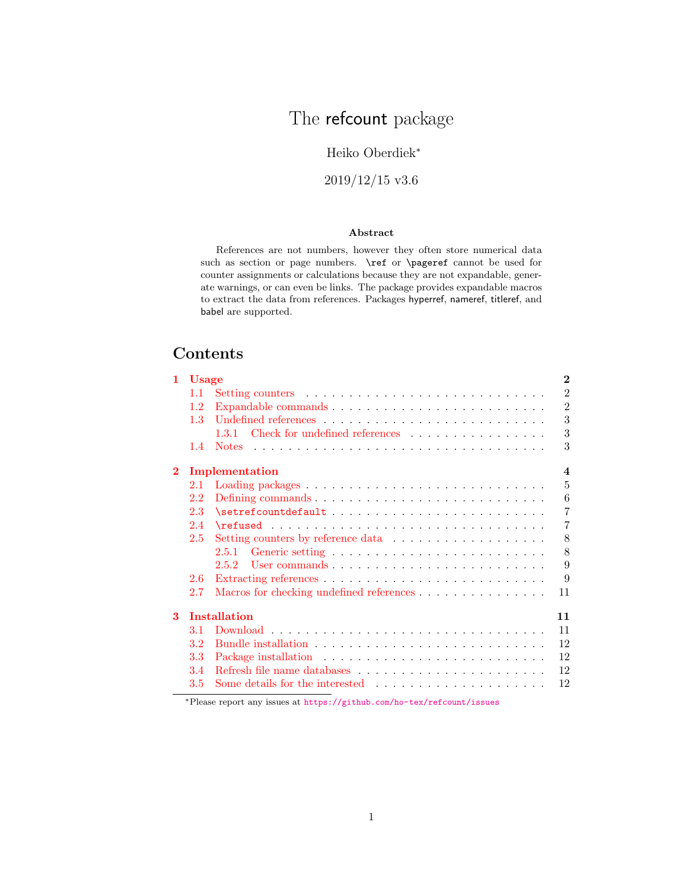# The refcount package

### Heiko Oberdiek<sup>∗</sup>

2019/12/15 v3.6

#### Abstract

References are not numbers, however they often store numerical data such as section or page numbers.  $\ref$  or  $\pag$  cannot be used for counter assignments or calculations because they are not expandable, generate warnings, or can even be links. The package provides expandable macros to extract the data from references. Packages hyperref, nameref, titleref, and babel are supported.

## Contents

| 1        | <b>Usage</b> |                                          | $\bf{2}$         |
|----------|--------------|------------------------------------------|------------------|
|          | 1.1          |                                          | $\overline{2}$   |
|          | 1.2          |                                          | $\overline{2}$   |
|          | 1.3          |                                          | 3                |
|          |              | Check for undefined references<br>1.3.1  | 3                |
|          | 1.4          | <b>Notes</b>                             | 3                |
| $\bf{2}$ |              | Implementation                           | $\boldsymbol{4}$ |
|          | 2.1          |                                          | 5                |
|          | 2.2          |                                          | 6                |
|          | 2.3          |                                          | $\overline{7}$   |
|          | 2.4          |                                          | $\overline{7}$   |
|          | 2.5          |                                          | 8                |
|          |              | 2.5.1                                    | 8                |
|          |              | 2.5.2                                    | 9                |
|          | 2.6          |                                          | 9                |
|          | 2.7          | Macros for checking undefined references | 11               |
| 3        |              | <b>Installation</b>                      | 11               |
|          | 3.1          |                                          | 11               |
|          | $3.2\,$      |                                          | 12               |
|          | 3.3          |                                          | 12               |
|          | 3.4          |                                          | 12               |
|          | 3.5          |                                          | 12               |
|          |              |                                          |                  |

<sup>∗</sup>Please report any issues at <https://github.com/ho-tex/refcount/issues>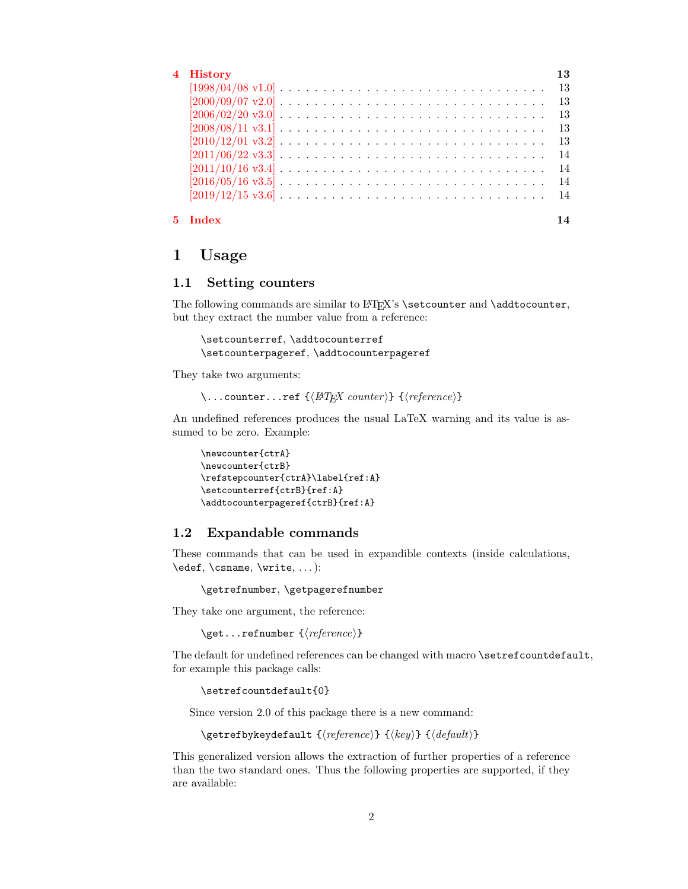| 4 History                                                                                                          | 13  |
|--------------------------------------------------------------------------------------------------------------------|-----|
| $[1998/04/08 \text{ v}1.0] \ldots \ldots \ldots \ldots \ldots \ldots \ldots \ldots \ldots \ldots \ldots 13$        |     |
| $[2000/09/07 \text{ v}2.0] \ldots \ldots \ldots \ldots \ldots \ldots \ldots \ldots \ldots \ldots \ldots \ldots 13$ |     |
| $[2006/02/20 \text{ v}3.0] \ldots \ldots \ldots \ldots \ldots \ldots \ldots \ldots \ldots \ldots \ldots \ldots 13$ |     |
|                                                                                                                    |     |
|                                                                                                                    |     |
|                                                                                                                    |     |
| $[2011/10/16 \text{ v}3.4] \ldots \ldots \ldots \ldots \ldots \ldots \ldots \ldots \ldots \ldots \ldots \ldots$    | -14 |
| $[2016/05/16 \text{ v}3.5] \ldots \ldots \ldots \ldots \ldots \ldots \ldots \ldots \ldots \ldots \ldots$           | -14 |
| $[2019/12/15 \text{ v}3.6] \ldots \ldots \ldots \ldots \ldots \ldots \ldots \ldots \ldots \ldots \ldots 14$        |     |
| 5 Index                                                                                                            | 14  |

### <span id="page-1-0"></span>1 Usage

#### <span id="page-1-1"></span>1.1 Setting counters

The following commands are similar to LATEX's \setcounter and \addtocounter, but they extract the number value from a reference:

\setcounterref, \addtocounterref \setcounterpageref, \addtocounterpageref

They take two arguments:

\...counter...ref  ${\langle \nvert A T_F X \nvert A \rangle} {\langle \nvert (reference)}$ 

An undefined references produces the usual LaTeX warning and its value is assumed to be zero. Example:

```
\newcounter{ctrA}
\newcounter{ctrB}
\refstepcounter{ctrA}\label{ref:A}
\setcounterref{ctrB}{ref:A}
\addtocounterpageref{ctrB}{ref:A}
```
#### <span id="page-1-2"></span>1.2 Expandable commands

These commands that can be used in expandible contexts (inside calculations, \edef, \csname, \write, ... ):

\getrefnumber, \getpagerefnumber

They take one argument, the reference:

\get...refnumber  $\{\langle reference \rangle\}$ 

The default for undefined references can be changed with macro \setrefcountdefault, for example this package calls:

\setrefcountdefault{0}

Since version 2.0 of this package there is a new command:

```
\getrefbykeydefault {\langle reference \rangle} {\langle \langle \text{default} \rangle}
```
This generalized version allows the extraction of further properties of a reference than the two standard ones. Thus the following properties are supported, if they are available: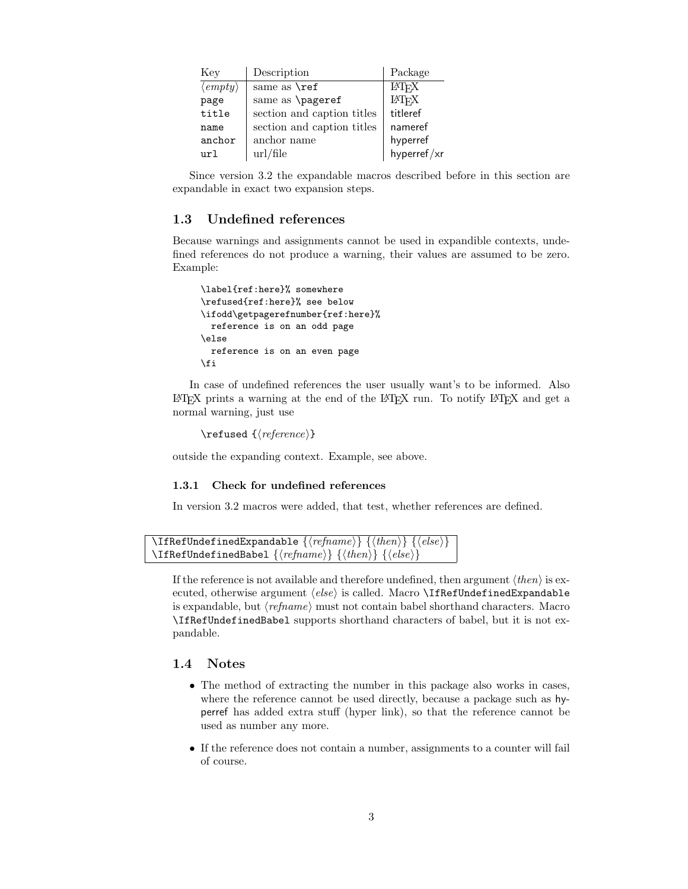| Key                              | Description                | Package                 |
|----------------------------------|----------------------------|-------------------------|
| $\langle \textit{empty} \rangle$ | same as $\ref$             | <b>IAT<sub>F</sub>X</b> |
| page                             | same as \pageref           | <b>IAT<sub>F</sub>X</b> |
| title                            | section and caption titles | titleref                |
| name                             | section and caption titles | nameref                 |
| anchor                           | anchor name                | hyperref                |
| url                              | $\text{url/file}$          | hyperref/xr             |

Since version 3.2 the expandable macros described before in this section are expandable in exact two expansion steps.

#### <span id="page-2-0"></span>1.3 Undefined references

Because warnings and assignments cannot be used in expandible contexts, undefined references do not produce a warning, their values are assumed to be zero. Example:

```
\label{ref:here}% somewhere
\refused{ref:here}% see below
\ifodd\getpagerefnumber{ref:here}%
 reference is on an odd page
\else
  reference is on an even page
\fi
```
In case of undefined references the user usually want's to be informed. Also  $\Delta E$ TEX prints a warning at the end of the LATEX run. To notify LATEX and get a normal warning, just use

```
\ref{tree}}
```
outside the expanding context. Example, see above.

#### <span id="page-2-1"></span>1.3.1 Check for undefined references

In version 3.2 macros were added, that test, whether references are defined.

```
\left\{ \left( \mathit{refname} \right) \right\} {\left\{ \left\langle \mathit{then} \right\rangle \right\} {\left\langle \mathit{else} \right\rangle}
\{If \text{RefUnderinedbabel } {\langle \text{refname} \rangle} \} {\langle \text{then} \rangle}
```
If the reference is not available and therefore undefined, then argument  $\langle then \rangle$  is executed, otherwise argument  $\langle else \rangle$  is called. Macro \IfRefUndefinedExpandable is expandable, but  $\langle \text{refname} \rangle$  must not contain babel shorthand characters. Macro \IfRefUndefinedBabel supports shorthand characters of babel, but it is not expandable.

#### <span id="page-2-2"></span>1.4 Notes

- The method of extracting the number in this package also works in cases, where the reference cannot be used directly, because a package such as hyperref has added extra stuff (hyper link), so that the reference cannot be used as number any more.
- If the reference does not contain a number, assignments to a counter will fail of course.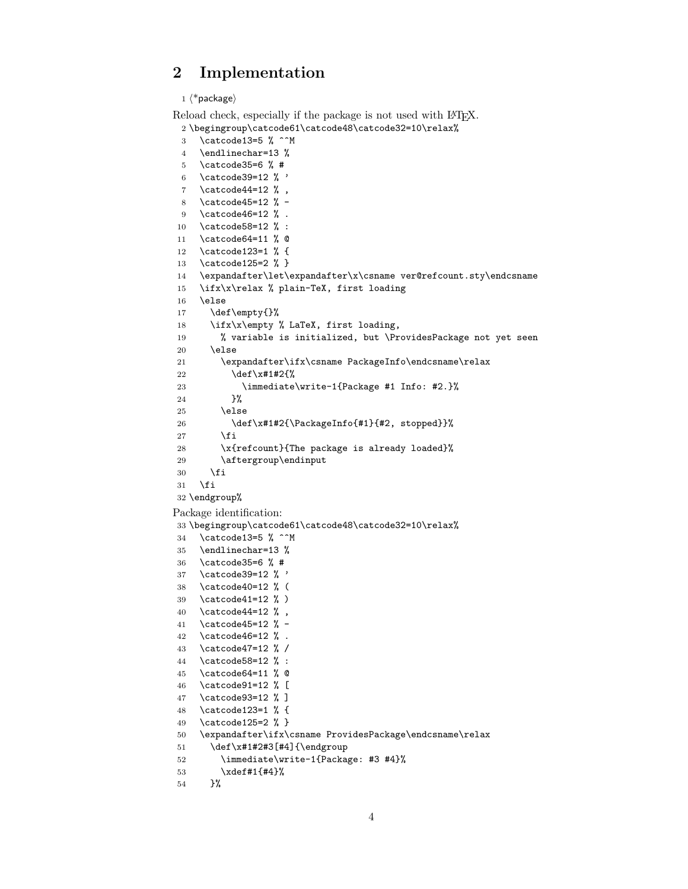### <span id="page-3-0"></span>2 Implementation

```
1 \langle *package\rangleReload check, especially if the package is not used with LAT<sub>EX</sub>.
 2 \begingroup\catcode61\catcode48\catcode32=10\relax%
 3 \catcode13=5 \% ^^M
 4 \endlinechar=13 %
 5 \catcode35=6 % #
 6 \catcode39=12 % '
 7 \catcode44=12 % ,
 8 \catcode45=12 % -
 9 \catcode46=12 % .
10 \catcode58=12 % :
11 \catcode64=11 % @
12 \catcode123=1 % {
13 \catcode125=2 % }
14 \expandafter\let\expandafter\x\csname ver@refcount.sty\endcsname
15 \ifx\x\relax % plain-TeX, first loading
16 \else
17 \def\empty{}%
18 \ifx\x\empty % LaTeX, first loading,
19 % variable is initialized, but \ProvidesPackage not yet seen
20 \else
21 \expandafter\ifx\csname PackageInfo\endcsname\relax
22 \det\{x\#1\#2\}23 \immediate\write-1{Package #1 Info: #2.}%
24 }%
25 \else
26 \def\x#1#2{\PackageInfo{#1}{#2, stopped}}%
27 \fi
28 \x{refcount}{The package is already loaded}%
29 \aftergroup\endinput
30 \fi
31 \fi
32 \endgroup%
Package identification:
33 \begingroup\catcode61\catcode48\catcode32=10\relax%
34 \catcode13=5 % ^^M
35 \endlinechar=13 %
36 \catcode35=6 % #
37 \catcode39=12 % '
38 \catcode40=12 % (
39 \catcode41=12 % )
40 \catcode44=12 \%,
41 \catcode45=12 % -
42 \catcode46=12 % .
43 \catcode47=12 % /
```
- <span id="page-3-42"></span><span id="page-3-39"></span><span id="page-3-37"></span><span id="page-3-35"></span><span id="page-3-23"></span><span id="page-3-22"></span><span id="page-3-21"></span><span id="page-3-20"></span><span id="page-3-19"></span><span id="page-3-18"></span><span id="page-3-17"></span><span id="page-3-16"></span><span id="page-3-15"></span><span id="page-3-14"></span><span id="page-3-13"></span><span id="page-3-1"></span>\catcode58=12 % :
- <span id="page-3-24"></span>\catcode64=11 % @
- <span id="page-3-25"></span>\catcode91=12 % [
- <span id="page-3-26"></span>\catcode93=12 % ]
- <span id="page-3-27"></span>\catcode123=1 % {
- <span id="page-3-28"></span>\catcode125=2 % }
- <span id="page-3-31"></span>\expandafter\ifx\csname ProvidesPackage\endcsname\relax
- <span id="page-3-43"></span>51 \def\x#1#2#3[#4]{\endgroup

```
52 \immediate\write-1{Package: #3 #4}%
```

```
53 \xdef#1{#4}%
```

```
54 }%
```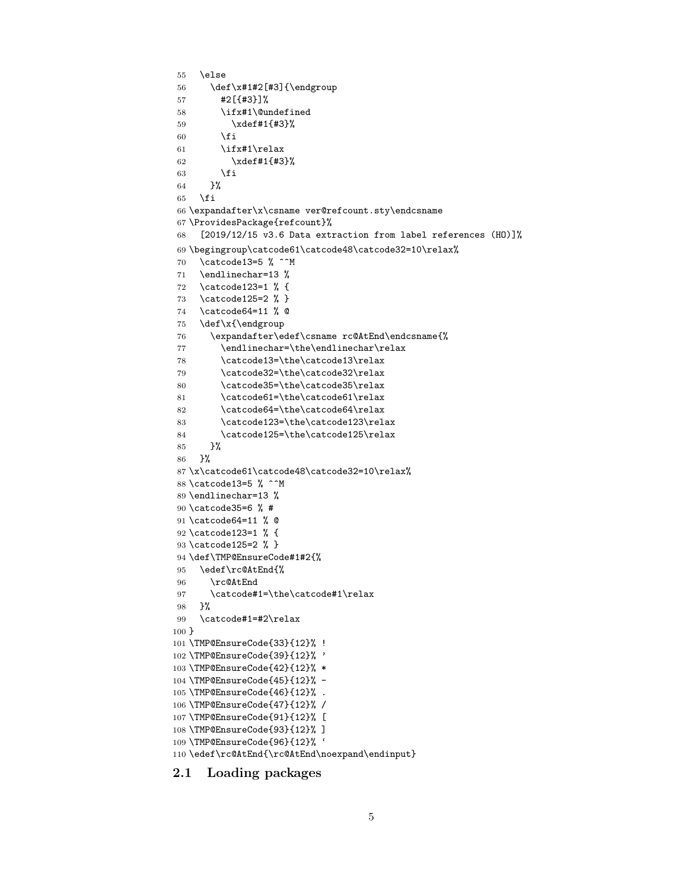```
55 \else
56 \def\x#1#2[#3]{\endgroup
57 #2[{#3}]%
58 \ifx#1\@undefined
59 \xdef#1{#3}%
60 \overline{\text{f}i}61 \ifx#1\relax
62 \xdef#1{#3}%
63 \setminusfi
64 }%
65 \setminusfi
66 \expandafter\x\csname ver@refcount.sty\endcsname
67 \ProvidesPackage{refcount}%
68 [2019/12/15 v3.6 Data extraction from label references (HO)]%
69 \begingroup\catcode61\catcode48\catcode32=10\relax%
70 \catcode13=5 % ^^M
71 \endlinechar=13 %
72 \catcode123=1 % {
73 \catcode125=2 % }
74 \catcode64=11 % @
75 \def\x{\endgroup
76 \expandafter\edef\csname rc@AtEnd\endcsname{%
77 \endlinechar=\the\endlinechar\relax
78 \catcode13=\the\catcode13\relax
79 \catcode32=\the\catcode32\relax
80 \catcode35=\the\catcode35\relax
81 \catcode61=\the\catcode61\relax
82 \catcode64=\the\catcode64\relax
83 \catcode123=\the\catcode123\relax
84 \catcode125=\the\catcode125\relax
85 }%
86 }%
87 \x\catcode61\catcode48\catcode32=10\relax%
88 \catcode13=5 % ^^M
89 \endlinechar=13 %
90 \catcode35=6 % #
91 \catcode64=11 % @
92 \catcode123=1 % {
93 \catcode125=2 % }
94 \def\TMP@EnsureCode#1#2{%
95 \edef\rc@AtEnd{%
96 \rc@AtEnd
97 \catcode#1=\the\catcode#1\relax
98 }%
99 \catcode#1=#2\relax
100 }
101 \TMP@EnsureCode{33}{12}% !
102 \TMP@EnsureCode{39}{12}% '
103 \TMP@EnsureCode{42}{12}% *
104 \TMP@EnsureCode{45}{12}% -
105 \TMP@EnsureCode{46}{12}% .
106 \TMP@EnsureCode{47}{12}% /
107 \TMP@EnsureCode{91}{12}% [
108 \TMP@EnsureCode{93}{12}% ]
109 \TMP@EnsureCode{96}{12}% '
110 \edef\rc@AtEnd{\rc@AtEnd\noexpand\endinput}
```
<span id="page-4-41"></span><span id="page-4-40"></span><span id="page-4-39"></span><span id="page-4-38"></span><span id="page-4-37"></span><span id="page-4-36"></span><span id="page-4-35"></span><span id="page-4-34"></span><span id="page-4-33"></span><span id="page-4-32"></span><span id="page-4-31"></span><span id="page-4-30"></span><span id="page-4-27"></span><span id="page-4-24"></span><span id="page-4-21"></span><span id="page-4-20"></span><span id="page-4-19"></span><span id="page-4-18"></span><span id="page-4-17"></span><span id="page-4-16"></span><span id="page-4-15"></span><span id="page-4-14"></span><span id="page-4-13"></span><span id="page-4-0"></span>2.1 Loading packages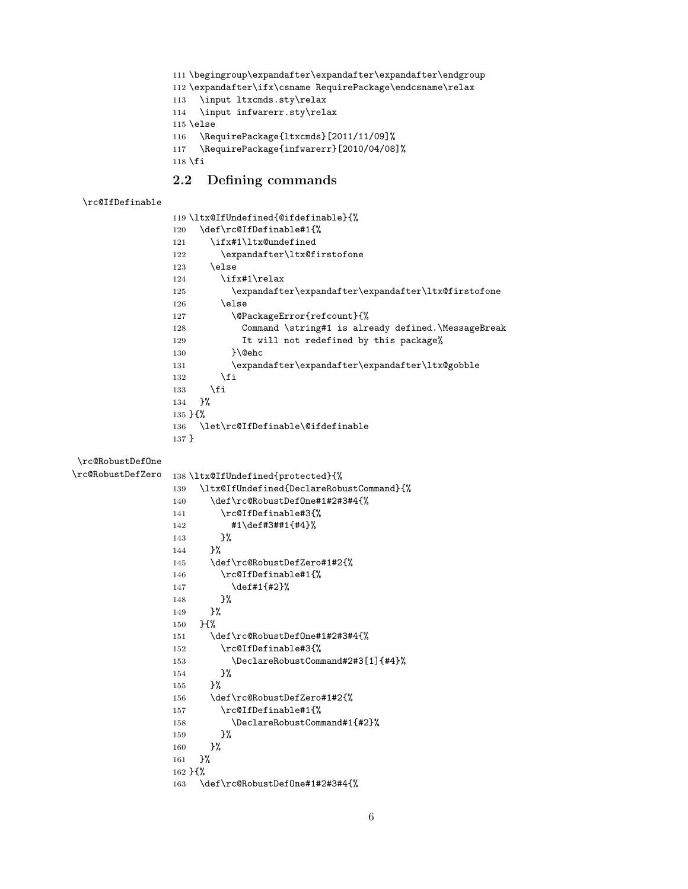<span id="page-5-10"></span><span id="page-5-9"></span><span id="page-5-4"></span> \begingroup\expandafter\expandafter\expandafter\endgroup \expandafter\ifx\csname RequirePackage\endcsname\relax \input ltxcmds.sty\relax \input infwarerr.sty\relax \else \RequirePackage{ltxcmds}[2011/11/09]% \RequirePackage{infwarerr}[2010/04/08]%  $\mathbf{\hat{1}}$ 

### <span id="page-5-26"></span><span id="page-5-25"></span><span id="page-5-14"></span><span id="page-5-12"></span><span id="page-5-11"></span><span id="page-5-8"></span><span id="page-5-7"></span><span id="page-5-1"></span><span id="page-5-0"></span>2.2 Defining commands

```
\rc@IfDefinable
```
<span id="page-5-24"></span><span id="page-5-23"></span><span id="page-5-22"></span><span id="page-5-21"></span><span id="page-5-20"></span><span id="page-5-19"></span><span id="page-5-17"></span><span id="page-5-16"></span><span id="page-5-15"></span><span id="page-5-13"></span><span id="page-5-6"></span><span id="page-5-5"></span><span id="page-5-3"></span><span id="page-5-2"></span>

|                   | 119 \ltx@IfUndefined{@ifdefinable}{%                       |
|-------------------|------------------------------------------------------------|
|                   | \def\rc@IfDefinable#1{%<br>120                             |
|                   | \ifx#1\ltx@undefined<br>121                                |
|                   | \expandafter\ltx@firstofone<br>122                         |
|                   | \else<br>123                                               |
|                   | \ifx#1\relax<br>124                                        |
|                   | \expandafter\expandafter\expandafter\ltx@firstofone<br>125 |
|                   | \else<br>126                                               |
|                   | \@PackageError{refcount}{%<br>127                          |
|                   | Command \string#1 is already defined.\MessageBreak<br>128  |
|                   | It will not redefined by this package%<br>129              |
|                   | }\@ehc<br>130                                              |
|                   | \expandafter\expandafter\expandafter\ltx@gobble<br>131     |
|                   | \fi<br>132                                                 |
|                   | \fi<br>133                                                 |
|                   | }%<br>134                                                  |
|                   | $135 \; \text{H}$                                          |
|                   | \let\rc@IfDefinable\@ifdefinable<br>136                    |
|                   | $137 \}$                                                   |
|                   |                                                            |
| \rc@RobustDef0ne  |                                                            |
| \rc@RobustDefZero | 138 \ltx@IfUndefined{protected}{%                          |
|                   | \ltx@IfUndefined{DeclareRobustCommand}{%<br>139            |
|                   | \def\rc@RobustDef0ne#1#2#3#4{%<br>140                      |
|                   | \rc@IfDefinable#3{%<br>141                                 |
|                   | $\sharp$ 1\def#3##1{#4}%<br>142                            |
|                   | }‰<br>143                                                  |
|                   | }%<br>144                                                  |
|                   | \def\rc@RobustDefZero#1#2{%<br>145                         |
|                   | \rc@IfDefinable#1{%<br>146                                 |
|                   | \def#1{#2}%<br>147                                         |
|                   | }‰<br>148                                                  |
|                   | }%<br>149                                                  |
|                   | ን የአ<br>150                                                |
|                   | \def\rc@RobustDef0ne#1#2#3#4{%<br>151                      |
|                   | \rc@IfDefinable#3{%<br>152                                 |
|                   | \DeclareRobustCommand#2#3[1]{#4}%<br>153                   |
|                   | ን%<br>154                                                  |
|                   | ን%<br>155                                                  |
|                   | \def\rc@RobustDefZero#1#2{%<br>156                         |
|                   | \rc@IfDefinable#1{%<br>157                                 |
|                   | \DeclareRobustCommand#1{#2}%<br>158                        |
|                   | }‰<br>159                                                  |
|                   | }%<br>160                                                  |
|                   | }%<br>161                                                  |
|                   | $162 \;$ H%                                                |
|                   | \def\rc@RobustDef0ne#1#2#3#4{%<br>163                      |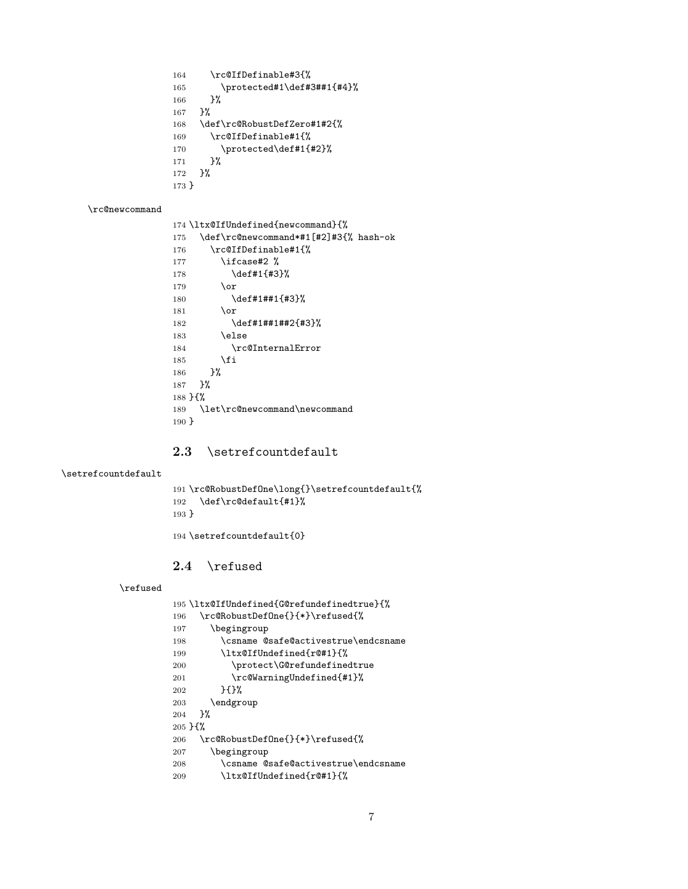<span id="page-6-15"></span><span id="page-6-14"></span><span id="page-6-12"></span><span id="page-6-11"></span> \rc@IfDefinable#3{% 165 \protected#1\def#3##1{#4}% }% }% \def\rc@RobustDefZero#1#2{% \rc@IfDefinable#1{% 170  $\protect\$  \protected\def#1{#2}%<br>171 }% }% }

#### <span id="page-6-18"></span>\rc@newcommand

<span id="page-6-16"></span><span id="page-6-6"></span><span id="page-6-5"></span>

|                      | 174 \ltx@IfUndefined{newcommand}{%    |  |
|----------------------|---------------------------------------|--|
| 175                  | \def\rc@newcommand*#1[#2]#3{% hash-ok |  |
| 176                  | \rc@IfDefinable#1{%                   |  |
| 177                  | \ifcase#2 %                           |  |
| 178                  | \def#1{#3}%                           |  |
| 179                  | \or                                   |  |
| 180                  | \def#1##1{#3}%                        |  |
| 181                  | \or                                   |  |
| 182                  | \def#1##1##2{#3}%                     |  |
| 183                  | \else                                 |  |
| 184                  | \rc@InternalError                     |  |
| 185                  | \fi                                   |  |
| 186                  | ን%                                    |  |
| 187                  | ጉ%                                    |  |
| $188$ H <sub>%</sub> |                                       |  |
| 189                  | \let\rc@newcommand\newcommand         |  |
| $190 \;$             |                                       |  |
|                      |                                       |  |

### <span id="page-6-17"></span><span id="page-6-10"></span><span id="page-6-0"></span>2.3 \setrefcountdefault

#### <span id="page-6-24"></span>\setrefcountdefault

<span id="page-6-19"></span><span id="page-6-13"></span>

|         | 191 \rc@RobustDefOne\long{}\setrefcountdefault{% |
|---------|--------------------------------------------------|
|         | $192$ \def\rc@default{#1}%                       |
| $193$ } |                                                  |
|         |                                                  |

<span id="page-6-25"></span>\setrefcountdefault{0}

### <span id="page-6-1"></span>2.4 \refused

#### <span id="page-6-23"></span>\refused

<span id="page-6-22"></span><span id="page-6-21"></span><span id="page-6-20"></span><span id="page-6-9"></span><span id="page-6-8"></span><span id="page-6-7"></span><span id="page-6-4"></span><span id="page-6-3"></span><span id="page-6-2"></span>

| 195 \ltx@IfUndefined{G@refundefinedtrue}{% |
|--------------------------------------------|
| \rc@RobustDefOne{}{*}\refused{%<br>196     |
| \begingroup<br>197                         |
| \csname @safe@activestrue\endcsname<br>198 |
| \ltx@IfUndefined{r@#1}{%<br>199            |
| \protect\G@refundefinedtrue<br>200         |
| \rc@WarningUndefined{#1}%<br>201           |
| ን የአ<br>202                                |
| \endgroup<br>203                           |
| ጉ%<br>204                                  |
| $205 \; \text{H}$ %                        |
| \rc@RobustDefOne{}{*}\refused{%<br>206     |
| \begingroup<br>207                         |
| \csname @safe@activestrue\endcsname<br>208 |
| \ltx@IfUndefined{r@#1}{%<br>209            |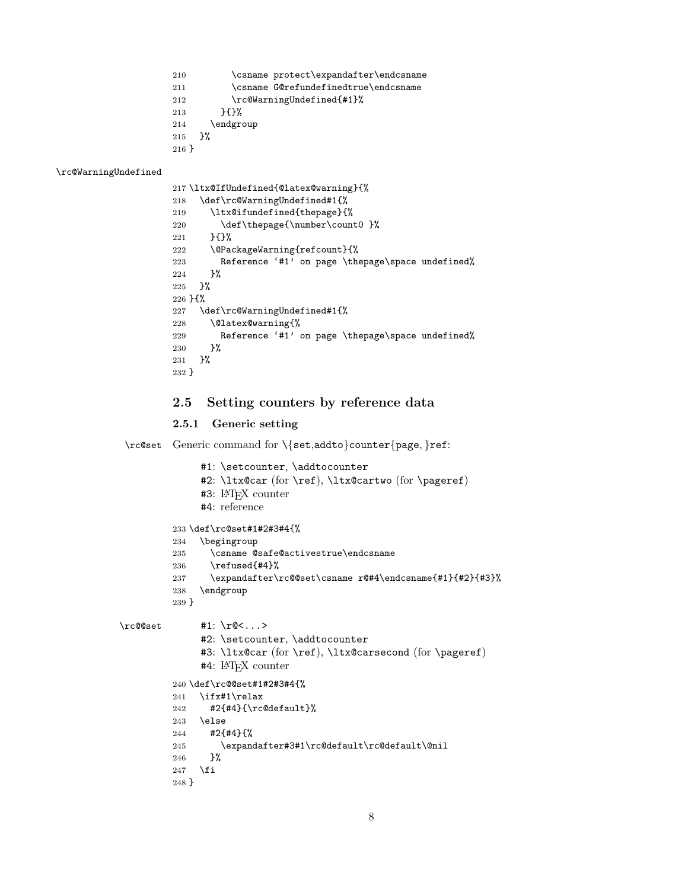<span id="page-7-16"></span><span id="page-7-7"></span><span id="page-7-6"></span> \csname protect\expandafter\endcsname \csname G@refundefinedtrue\endcsname \rc@WarningUndefined{#1}% }{}% \endgroup }% }

<span id="page-7-17"></span>\rc@WarningUndefined

```
217 \ltx@IfUndefined{@latex@warning}{%
218 \def\rc@WarningUndefined#1{%
219 \ltx@ifundefined{thepage}{%
220 \def\thepage{\number\count0 }%
221 }{}%
222 \@PackageWarning{refcount}{%
223 Reference '#1' on page \thepage\space undefined%
224 }%
225 }%
226 }{%
227 \def\rc@WarningUndefined#1{%
228 \@latex@warning{%
229 Reference '#1' on page \thepage\space undefined%
230 }%
231 }%
232 }
```
#### <span id="page-7-20"></span><span id="page-7-3"></span><span id="page-7-0"></span>2.5 Setting counters by reference data

#### <span id="page-7-1"></span>2.5.1 Generic setting

<span id="page-7-15"></span>\rc@set Generic command for \{set,addto}counter{page, }ref:

```
#1: \setcounter, \addtocounter
              #2: \ltx@car (for \ref), \ltx@cartwo (for \pageref)
              #3: LATEX counter
              #4: reference
         233 \def\rc@set#1#2#3#4{%
         234 \begingroup
         235 \csname @safe@activestrue\endcsname
         236 \refused{#4}%
         237 \expandafter\rc@@set\csname r@#4\endcsname{#1}{#2}{#3}%
         238 \endgroup
         239 }
\rc@@set #1: \r@<...>
              #2: \setcounter, \addtocounter
              #3: \ltx@car (for \ref), \ltx@carsecond (for \pageref)
              #4: LATEX counter
         240 \def\rc@@set#1#2#3#4{%
         241 \ifx#1\relax
         242 #2{#4}{\rc@default}%
         243 \else
         244 #2{#4}{%
         245 \expandafter#3#1\rc@default\rc@default\@nil
         246 }%
         247 \overline{1}248 }
```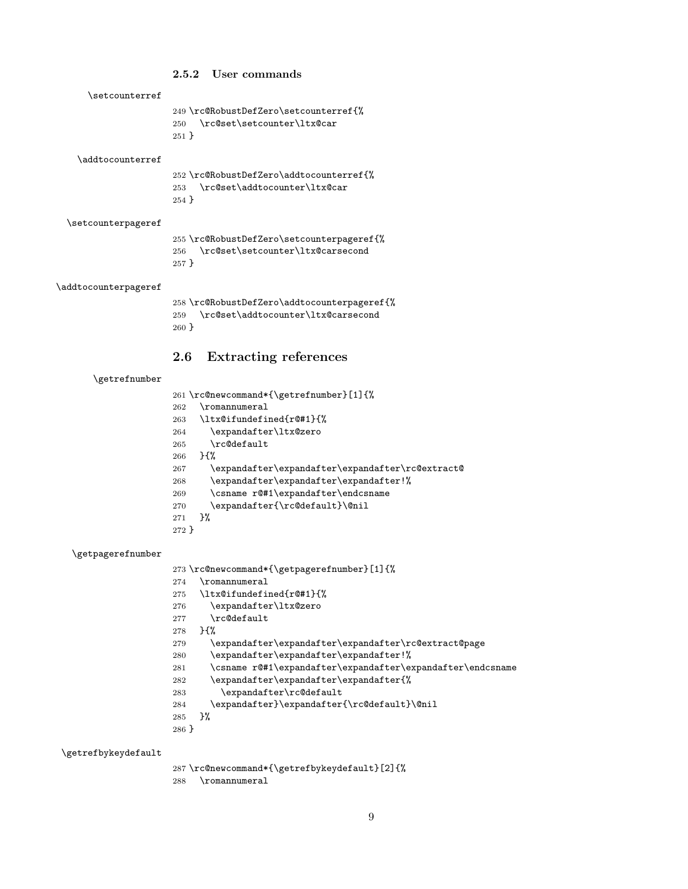#### <span id="page-8-28"></span><span id="page-8-27"></span><span id="page-8-13"></span><span id="page-8-4"></span><span id="page-8-0"></span>2.5.2 User commands

<span id="page-8-35"></span><span id="page-8-34"></span><span id="page-8-7"></span>

| \setcounterref       |                                                                                                 |
|----------------------|-------------------------------------------------------------------------------------------------|
|                      | 249 \rc@RobustDefZero\setcounterref{%<br>\rc@set\setcounter\ltx@car<br>250<br>$251$ }           |
| \addtocounterref     |                                                                                                 |
|                      | 252 \rc@RobustDefZero\addtocounterref{%<br>\rc@set\addtocounter\ltx@car<br>253<br>$254$ }       |
| \setcounterpageref   |                                                                                                 |
|                      | 255 \rc@RobustDefZero\setcounterpageref{%<br>\rc@set\setcounter\ltx@carsecond<br>256<br>$257$ } |
| \addtocounterpageref |                                                                                                 |

<span id="page-8-30"></span><span id="page-8-29"></span><span id="page-8-14"></span><span id="page-8-5"></span> \rc@RobustDefZero\addtocounterpageref{% \rc@set\addtocounter\ltx@carsecond }

### <span id="page-8-1"></span>2.6 Extracting references

#### <span id="page-8-12"></span><span id="page-8-6"></span>\getrefnumber

<span id="page-8-31"></span><span id="page-8-24"></span><span id="page-8-22"></span><span id="page-8-19"></span><span id="page-8-17"></span><span id="page-8-15"></span>

|         | 261 \rc@newcommand*{\getrefnumber}[1]{%          |
|---------|--------------------------------------------------|
| 262     | \romannumeral                                    |
| 263     | \ltx@ifundefined{r@#1}{%                         |
| 264     | \expandafter\ltx@zero                            |
| 265     | $\verb \rcdefault $                              |
| 266     | $H^{\prime\prime}$                               |
| 267     | \expandafter\expandafter\expandafter\rc@extract@ |
| 268     | \expandafter\expandafter\expandafter!%           |
| 269     | \csname r@#1\expandafter\endcsname               |
| 270     | \expandafter{\rc@default}\@nil                   |
| 271     | ን%                                               |
| $272$ } |                                                  |

#### <span id="page-8-10"></span>\getpagerefnumber

<span id="page-8-32"></span><span id="page-8-25"></span><span id="page-8-23"></span><span id="page-8-20"></span><span id="page-8-18"></span><span id="page-8-16"></span><span id="page-8-9"></span><span id="page-8-8"></span><span id="page-8-2"></span>

|         | 273 \rc@newcommand*{\getpagerefnumber}[1]{%                |
|---------|------------------------------------------------------------|
| 274     | \romannumeral                                              |
| 275     | \ltx@ifundefined{r@#1}{%                                   |
| 276     | \expandafter\ltx@zero                                      |
| 277     | \rc@default                                                |
| 278     | $H^{\prime\prime}$                                         |
| 279     | \expandafter\expandafter\expandafter\rc@extract@page       |
| 280     | \expandafter\expandafter\expandafter!%                     |
| 281     | \csname r@#1\expandafter\expandafter\expandafter\endcsname |
| 282     | \expandafter\expandafter\expandafter{%                     |
| 283     | \expandafter\rc@default                                    |
| 284     | \expandafter}\expandafter{\rc@default}\@nil                |
| 285     | ጉ%                                                         |
| $286$ } |                                                            |

<span id="page-8-11"></span> $\verb|\getrefbykeydefault|$ 

<span id="page-8-26"></span><span id="page-8-21"></span><span id="page-8-3"></span>287 \rc@newcommand\*{\getrefbykeydefault}[2]{%

<span id="page-8-33"></span>\romannumeral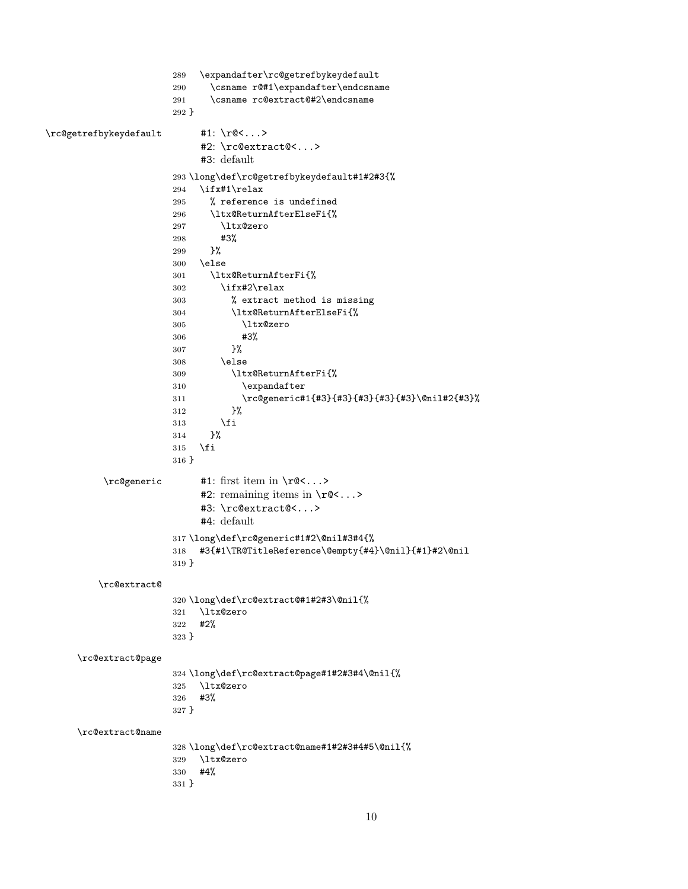<span id="page-9-24"></span><span id="page-9-23"></span><span id="page-9-22"></span><span id="page-9-21"></span><span id="page-9-20"></span><span id="page-9-19"></span><span id="page-9-18"></span><span id="page-9-17"></span><span id="page-9-16"></span><span id="page-9-15"></span><span id="page-9-14"></span><span id="page-9-13"></span><span id="page-9-12"></span><span id="page-9-11"></span><span id="page-9-10"></span><span id="page-9-9"></span><span id="page-9-8"></span><span id="page-9-7"></span><span id="page-9-6"></span><span id="page-9-5"></span><span id="page-9-4"></span><span id="page-9-3"></span><span id="page-9-2"></span><span id="page-9-1"></span><span id="page-9-0"></span> \expandafter\rc@getrefbykeydefault \csname r@#1\expandafter\endcsname \csname rc@extract@#2\endcsname } \rc@getrefbykeydefault #1: \r@<...> #2: \rc@extract@<...> #3: default \long\def\rc@getrefbykeydefault#1#2#3{% \ifx#1\relax % reference is undefined \ltx@ReturnAfterElseFi{% \ltx@zero #3% }% \else \ltx@ReturnAfterFi{% \ifx#2\relax % extract method is missing \ltx@ReturnAfterElseFi{% \ltx@zero #3% }% \else \ltx@ReturnAfterFi{% \expandafter \rc@generic#1{#3}{#3}{#3}{#3}{#3}\@nil#2{#3}% }% \fi }% \fi } \rc@generic #1: first item in \r@<...> #2: remaining items in  $\rhd$ ...> #3: \rc@extract@<...> #4: default \long\def\rc@generic#1#2\@nil#3#4{% #3{#1\TR@TitleReference\@empty{#4}\@nil}{#1}#2\@nil } \rc@extract@ \long\def\rc@extract@#1#2#3\@nil{% \ltx@zero #2% } \rc@extract@page \long\def\rc@extract@page#1#2#3#4\@nil{% \ltx@zero #3% } \rc@extract@name \long\def\rc@extract@name#1#2#3#4#5\@nil{% \ltx@zero #4% }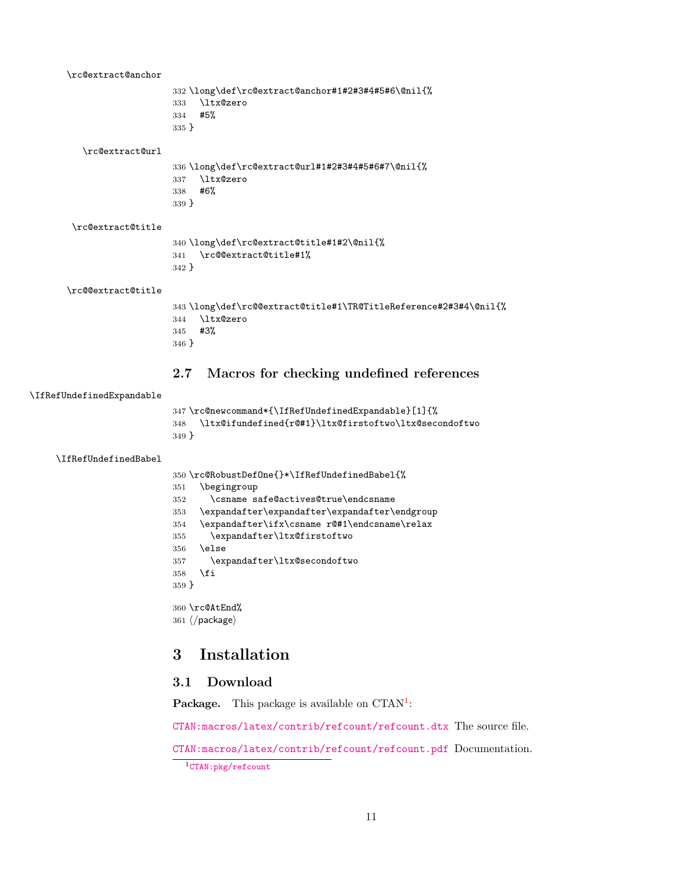<span id="page-10-23"></span><span id="page-10-22"></span><span id="page-10-21"></span><span id="page-10-19"></span><span id="page-10-18"></span><span id="page-10-16"></span><span id="page-10-15"></span><span id="page-10-6"></span><span id="page-10-5"></span><span id="page-10-4"></span>\rc@extract@anchor \long\def\rc@extract@anchor#1#2#3#4#5#6\@nil{% \ltx@zero #5% } \rc@extract@url \long\def\rc@extract@url#1#2#3#4#5#6#7\@nil{% \ltx@zero #6% } \rc@extract@title \long\def\rc@extract@title#1#2\@nil{% \rc@@extract@title#1% } \rc@@extract@title \long\def\rc@@extract@title#1\TR@TitleReference#2#3#4\@nil{% \ltx@zero #3% } 2.7 Macros for checking undefined references \IfRefUndefinedExpandable \rc@newcommand\*{\IfRefUndefinedExpandable}[1]{% \ltx@ifundefined{r@#1}\ltx@firstoftwo\ltx@secondoftwo } \IfRefUndefinedBabel \rc@RobustDefOne{}\*\IfRefUndefinedBabel{% \begingroup \csname safe@actives@true\endcsname \expandafter\expandafter\expandafter\endgroup \expandafter\ifx\csname r@#1\endcsname\relax \expandafter\ltx@firstoftwo

```
356 \else
357 \expandafter\ltx@secondoftwo
358 \fi
359 }
```
<span id="page-10-20"></span> \rc@AtEnd%  $361 \; \langle / \text{package} \rangle$ 

### <span id="page-10-1"></span>3 Installation

### <span id="page-10-2"></span>3.1 Download

**Package.** This package is available on  $CTAN^1$  $CTAN^1$ :

[CTAN:macros/latex/contrib/refcount/refcount.dtx](https://ctan.org/tex-archive/macros/latex/contrib/refcount/refcount.dtx) The source file.

[CTAN:macros/latex/contrib/refcount/refcount.pdf](https://ctan.org/tex-archive/macros/latex/contrib/refcount/refcount.pdf) Documentation.

```
1CTAN:pkg/refcount
```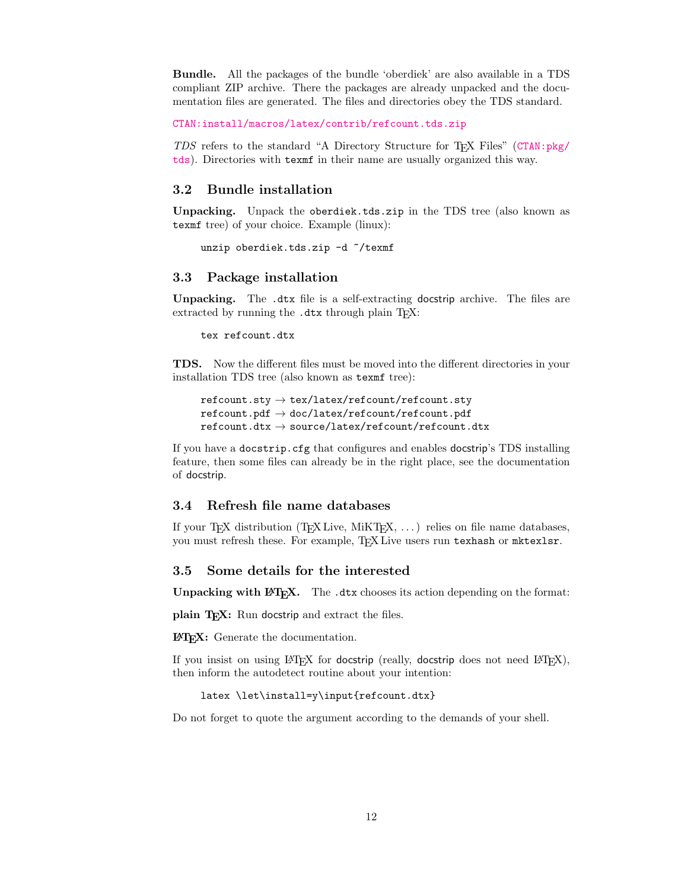Bundle. All the packages of the bundle 'oberdiek' are also available in a TDS compliant ZIP archive. There the packages are already unpacked and the documentation files are generated. The files and directories obey the TDS standard.

[CTAN:install/macros/latex/contrib/refcount.tds.zip](http://mirrors.ctan.org/install/macros/latex/contrib/refcount.tds.zip)

TDS refers to the standard "A Directory Structure for TEX Files" ([CTAN:pkg/](http://ctan.org/pkg/tds) [tds](http://ctan.org/pkg/tds)). Directories with texmf in their name are usually organized this way.

#### <span id="page-11-0"></span>3.2 Bundle installation

Unpacking. Unpack the oberdiek.tds.zip in the TDS tree (also known as texmf tree) of your choice. Example (linux):

unzip oberdiek.tds.zip -d ~/texmf

#### <span id="page-11-1"></span>3.3 Package installation

Unpacking. The .dtx file is a self-extracting docstrip archive. The files are extracted by running the .dtx through plain T<sub>E</sub>X:

tex refcount.dtx

TDS. Now the different files must be moved into the different directories in your installation TDS tree (also known as texmf tree):

```
\text{refcount}.\text{sty} \rightarrow \text{tex}/\text{latex/refcount/refcount}.sty
\texttt{refcount.pdf}\to\texttt{doc/latex/refcount/refcount.pdf}\text{refcount.txt} \rightarrow \text{source/lates/refcount/refcount.txt}
```
If you have a docstrip.cfg that configures and enables docstrip's TDS installing feature, then some files can already be in the right place, see the documentation of docstrip.

#### <span id="page-11-2"></span>3.4 Refresh file name databases

If your T<sub>E</sub>X distribution (T<sub>E</sub>X Live, MiKT<sub>E</sub>X,  $\ldots$ ) relies on file name databases, you must refresh these. For example, TFX Live users run texhash or mktexlsr.

#### <span id="page-11-3"></span>3.5 Some details for the interested

Unpacking with LAT<sub>E</sub>X. The .dtx chooses its action depending on the format:

plain T<sub>E</sub>X: Run docstrip and extract the files.

LATEX: Generate the documentation.

If you insist on using  $L^2T_FX$  for docstrip (really, docstrip does not need  $L^2T_FX$ ), then inform the autodetect routine about your intention:

latex \let\install=y\input{refcount.dtx}

Do not forget to quote the argument according to the demands of your shell.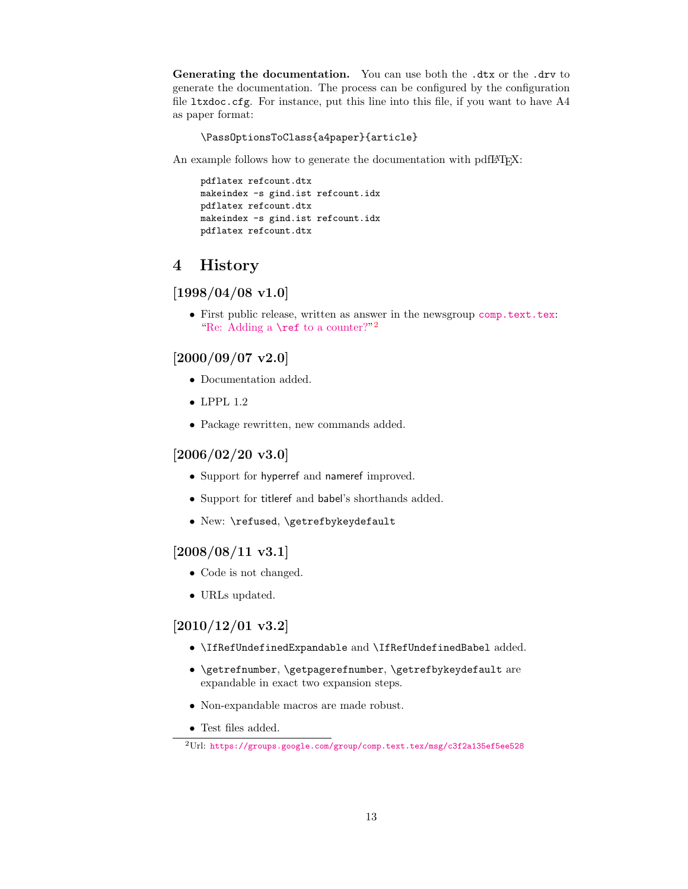Generating the documentation. You can use both the .dtx or the .drv to generate the documentation. The process can be configured by the configuration file ltxdoc.cfg. For instance, put this line into this file, if you want to have A4 as paper format:

\PassOptionsToClass{a4paper}{article}

An example follows how to generate the documentation with pdfIAT<sub>E</sub>X:

pdflatex refcount.dtx makeindex -s gind.ist refcount.idx pdflatex refcount.dtx makeindex -s gind.ist refcount.idx pdflatex refcount.dtx

### <span id="page-12-0"></span>4 History

### <span id="page-12-1"></span> $[1998/04/08 \text{ v}1.0]$

• First public release, written as answer in the newsgroup [comp.text.tex](news:comp.text.tex): ["Re: Adding a](https://groups.google.com/group/comp.text.tex/msg/c3f2a135ef5ee528) **\ref** to a counter?"<sup>[2](#page-12-6)</sup>

### <span id="page-12-2"></span> $[2000/09/07 \text{ v}2.0]$

- Documentation added.
- LPPL 1.2
- Package rewritten, new commands added.

### <span id="page-12-3"></span> $[2006/02/20 \text{ v}3.0]$

- Support for hyperref and nameref improved.
- Support for titleref and babel's shorthands added.
- New: \refused, \getrefbykeydefault

#### <span id="page-12-4"></span>[2008/08/11 v3.1]

- Code is not changed.
- URLs updated.

### <span id="page-12-5"></span>[2010/12/01 v3.2]

- \IfRefUndefinedExpandable and \IfRefUndefinedBabel added.
- \getrefnumber, \getpagerefnumber, \getrefbykeydefault are expandable in exact two expansion steps.
- Non-expandable macros are made robust.
- Test files added.

<span id="page-12-6"></span> $^{2}$ Url: <https://groups.google.com/group/comp.text.tex/msg/c3f2a135ef5ee528>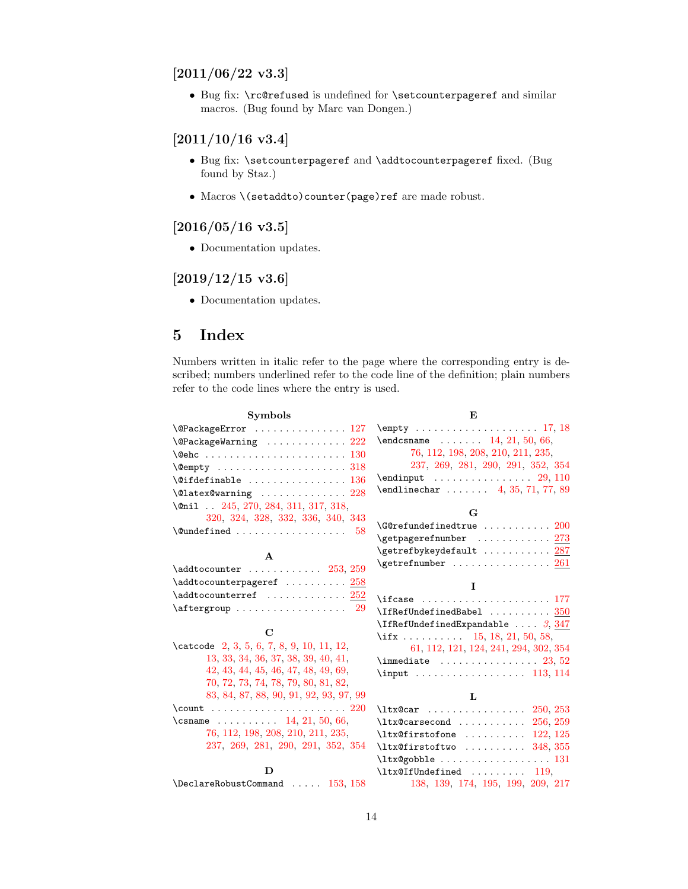### <span id="page-13-0"></span> $[2011/06/22 \text{ v}3.3]$

• Bug fix: \rc@refused is undefined for \setcounterpageref and similar macros. (Bug found by Marc van Dongen.)

### <span id="page-13-1"></span> $[2011/10/16 v3.4]$

- Bug fix: \setcounterpageref and \addtocounterpageref fixed. (Bug found by Staz.)
- Macros \(setaddto)counter(page)ref are made robust.

### <span id="page-13-2"></span> $[2016/05/16 \text{ v}3.5]$

• Documentation updates.

### <span id="page-13-3"></span> $[2019/12/15 \text{ v}3.6]$

• Documentation updates.

### <span id="page-13-4"></span>5 Index

Numbers written in italic refer to the page where the corresponding entry is described; numbers underlined refer to the code line of the definition; plain numbers refer to the code lines where the entry is used.

| <b>Symbols</b>                                             | E                                                                                                                                                                                                                                                                                                                                                                                                      |
|------------------------------------------------------------|--------------------------------------------------------------------------------------------------------------------------------------------------------------------------------------------------------------------------------------------------------------------------------------------------------------------------------------------------------------------------------------------------------|
|                                                            |                                                                                                                                                                                                                                                                                                                                                                                                        |
| $\\$ {QPackageWarning \dots \dots \dots \dots \ 222}       | $\end{math}$ 14, 21, 50, 66,                                                                                                                                                                                                                                                                                                                                                                           |
|                                                            | 76, 112, 198, 208, 210, 211, 235,                                                                                                                                                                                                                                                                                                                                                                      |
|                                                            | 237, 269, 281, 290, 291, 352, 354                                                                                                                                                                                                                                                                                                                                                                      |
| $\setminus$ @ifdefinable  136                              | $\end{im}$ ut  29, 110                                                                                                                                                                                                                                                                                                                                                                                 |
|                                                            | $\end{line}$ 4, 35, 71, 77, 89                                                                                                                                                                                                                                                                                                                                                                         |
| \@nil  245, 270, 284, 311, 317, 318,                       |                                                                                                                                                                                                                                                                                                                                                                                                        |
| 320, 324, 328, 332, 336, 340, 343                          | G                                                                                                                                                                                                                                                                                                                                                                                                      |
| $\{\text{Qundefined} \dots \dots \dots \dots \dots \ 58\}$ | $\sqrt{G}$ Crefundefinedtrue $200$                                                                                                                                                                                                                                                                                                                                                                     |
|                                                            | \getpagerefnumber  273                                                                                                                                                                                                                                                                                                                                                                                 |
| $\mathbf{A}$                                               | $\setminus$ getrefbykeydefault  287                                                                                                                                                                                                                                                                                                                                                                    |
| $\addtocounter$ $253, 259$                                 | $\setminus$ getrefnumber  261                                                                                                                                                                                                                                                                                                                                                                          |
| \addtocounterpageref  258                                  |                                                                                                                                                                                                                                                                                                                                                                                                        |
| $\addto counterref$ $252$                                  | L                                                                                                                                                                                                                                                                                                                                                                                                      |
|                                                            | $\left\{ \right.$ $\left\{ \right. 177$                                                                                                                                                                                                                                                                                                                                                                |
|                                                            | $\I$ fRefUndefinedBabel  350                                                                                                                                                                                                                                                                                                                                                                           |
| $\mathbf C$                                                | $\left\{ \Pi \right\}$ $\left\{ \Pi \right\}$ $\left\{ \Pi \right\}$ $\left\{ \Pi \right\}$ $\left\{ \Pi \right\}$ $\left\{ \Pi \right\}$ $\left\{ \Pi \right\}$ $\left\{ \Pi \right\}$ $\left\{ \Pi \right\}$ $\left\{ \Pi \right\}$ $\left\{ \Pi \right\}$ $\left\{ \Pi \right\}$ $\left\{ \Pi \right\}$ $\left\{ \Pi \right\}$ $\left\{ \Pi \right\}$ $\left\{ \Pi \right\}$ $\left\{ \Pi \right\}$ |
|                                                            | \if $x \ldots \ldots \ldots \ldots 15, 18, 21, 50, 58,$                                                                                                                                                                                                                                                                                                                                                |
| $\text{Catcode}$ 2, 3, 5, 6, 7, 8, 9, 10, 11, 12,          | 61, 112, 121, 124, 241, 294, 302, 354                                                                                                                                                                                                                                                                                                                                                                  |
| 13, 33, 34, 36, 37, 38, 39, 40, 41,                        | $\{immediate \ldots \ldots \ldots \ldots \ 23, 52\}$                                                                                                                                                                                                                                                                                                                                                   |
| 42, 43, 44, 45, 46, 47, 48, 49, 69,                        |                                                                                                                                                                                                                                                                                                                                                                                                        |
| 70, 72, 73, 74, 78, 79, 80, 81, 82,                        |                                                                                                                                                                                                                                                                                                                                                                                                        |
| 83, 84, 87, 88, 90, 91, 92, 93, 97, 99                     | L                                                                                                                                                                                                                                                                                                                                                                                                      |
|                                                            | $\text{ltx@car}$ 250, 253                                                                                                                                                                                                                                                                                                                                                                              |
| \csname $\ldots \ldots \ldots$ 14, 21, 50, 66,             | $\text{ltx@carsecond}$ $256, 259$                                                                                                                                                                                                                                                                                                                                                                      |
| 76, 112, 198, 208, 210, 211, 235,                          | $\texttt{ltx@firstofone}$ 122, 125                                                                                                                                                                                                                                                                                                                                                                     |
| 237, 269, 281, 290, 291, 352, 354                          | $\texttt{ltx@firstoftwo}$ 348, 355                                                                                                                                                                                                                                                                                                                                                                     |
|                                                            | $\texttt{ltx@gobble} \dots \dots \dots \dots \dots \dots \dots \dots \dots$                                                                                                                                                                                                                                                                                                                            |
| D                                                          | $\text{Utx@IfUndefined} \dots \dots \dots \quad 119,$                                                                                                                                                                                                                                                                                                                                                  |
| $\Delta$ 153, 158                                          | 138, 139, 174, 195, 199, 209, 217                                                                                                                                                                                                                                                                                                                                                                      |